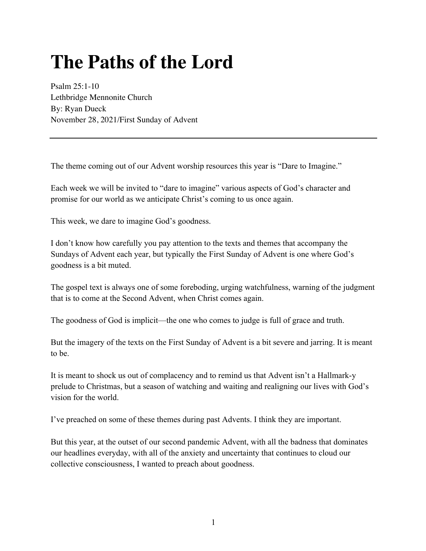## **The Paths of the Lord**

Psalm 25:1-10 Lethbridge Mennonite Church By: Ryan Dueck November 28, 2021/First Sunday of Advent

The theme coming out of our Advent worship resources this year is "Dare to Imagine."

Each week we will be invited to "dare to imagine" various aspects of God's character and promise for our world as we anticipate Christ's coming to us once again.

This week, we dare to imagine God's goodness.

I don't know how carefully you pay attention to the texts and themes that accompany the Sundays of Advent each year, but typically the First Sunday of Advent is one where God's goodness is a bit muted.

The gospel text is always one of some foreboding, urging watchfulness, warning of the judgment that is to come at the Second Advent, when Christ comes again.

The goodness of God is implicit—the one who comes to judge is full of grace and truth.

But the imagery of the texts on the First Sunday of Advent is a bit severe and jarring. It is meant to be.

It is meant to shock us out of complacency and to remind us that Advent isn't a Hallmark-y prelude to Christmas, but a season of watching and waiting and realigning our lives with God's vision for the world.

I've preached on some of these themes during past Advents. I think they are important.

But this year, at the outset of our second pandemic Advent, with all the badness that dominates our headlines everyday, with all of the anxiety and uncertainty that continues to cloud our collective consciousness, I wanted to preach about goodness.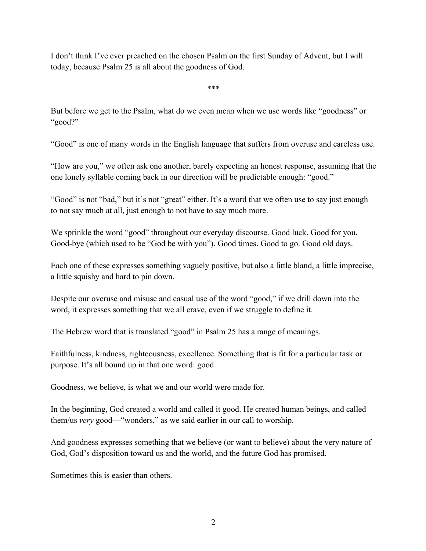I don't think I've ever preached on the chosen Psalm on the first Sunday of Advent, but I will today, because Psalm 25 is all about the goodness of God.

\*\*\*

But before we get to the Psalm, what do we even mean when we use words like "goodness" or "good?"

"Good" is one of many words in the English language that suffers from overuse and careless use.

"How are you," we often ask one another, barely expecting an honest response, assuming that the one lonely syllable coming back in our direction will be predictable enough: "good."

"Good" is not "bad," but it's not "great" either. It's a word that we often use to say just enough to not say much at all, just enough to not have to say much more.

We sprinkle the word "good" throughout our everyday discourse. Good luck. Good for you. Good-bye (which used to be "God be with you"). Good times. Good to go. Good old days.

Each one of these expresses something vaguely positive, but also a little bland, a little imprecise, a little squishy and hard to pin down.

Despite our overuse and misuse and casual use of the word "good," if we drill down into the word, it expresses something that we all crave, even if we struggle to define it.

The Hebrew word that is translated "good" in Psalm 25 has a range of meanings.

Faithfulness, kindness, righteousness, excellence. Something that is fit for a particular task or purpose. It's all bound up in that one word: good.

Goodness, we believe, is what we and our world were made for.

In the beginning, God created a world and called it good. He created human beings, and called them/us *very* good—"wonders," as we said earlier in our call to worship.

And goodness expresses something that we believe (or want to believe) about the very nature of God, God's disposition toward us and the world, and the future God has promised.

Sometimes this is easier than others.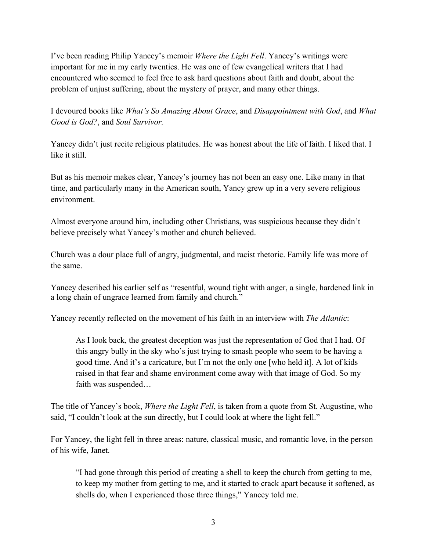I've been reading Philip Yancey's memoir *Where the Light Fell*. Yancey's writings were important for me in my early twenties. He was one of few evangelical writers that I had encountered who seemed to feel free to ask hard questions about faith and doubt, about the problem of unjust suffering, about the mystery of prayer, and many other things.

I devoured books like *What's So Amazing About Grace*, and *Disappointment with God*, and *What Good is God?*, and *Soul Survivor.* 

Yancey didn't just recite religious platitudes. He was honest about the life of faith. I liked that. I like it still.

But as his memoir makes clear, Yancey's journey has not been an easy one. Like many in that time, and particularly many in the American south, Yancy grew up in a very severe religious environment.

Almost everyone around him, including other Christians, was suspicious because they didn't believe precisely what Yancey's mother and church believed.

Church was a dour place full of angry, judgmental, and racist rhetoric. Family life was more of the same.

Yancey described his earlier self as "resentful, wound tight with anger, a single, hardened link in a long chain of ungrace learned from family and church."

Yancey recently reflected on the movement of his faith in an interview with *The Atlantic*:

As I look back, the greatest deception was just the representation of God that I had. Of this angry bully in the sky who's just trying to smash people who seem to be having a good time. And it's a caricature, but I'm not the only one [who held it]. A lot of kids raised in that fear and shame environment come away with that image of God. So my faith was suspended…

The title of Yancey's book, *Where the Light Fell*, is taken from a quote from St. Augustine, who said, "I couldn't look at the sun directly, but I could look at where the light fell."

For Yancey, the light fell in three areas: nature, classical music, and romantic love, in the person of his wife, Janet.

"I had gone through this period of creating a shell to keep the church from getting to me, to keep my mother from getting to me, and it started to crack apart because it softened, as shells do, when I experienced those three things," Yancey told me.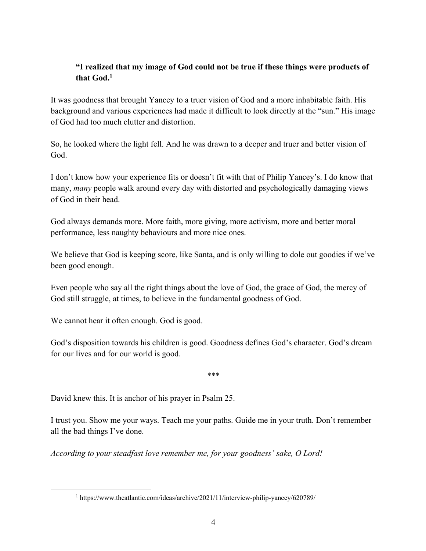## **"I realized that my image of God could not be true if these things were products of that God.1**

It was goodness that brought Yancey to a truer vision of God and a more inhabitable faith. His background and various experiences had made it difficult to look directly at the "sun." His image of God had too much clutter and distortion.

So, he looked where the light fell. And he was drawn to a deeper and truer and better vision of God.

I don't know how your experience fits or doesn't fit with that of Philip Yancey's. I do know that many, *many* people walk around every day with distorted and psychologically damaging views of God in their head.

God always demands more. More faith, more giving, more activism, more and better moral performance, less naughty behaviours and more nice ones.

We believe that God is keeping score, like Santa, and is only willing to dole out goodies if we've been good enough.

Even people who say all the right things about the love of God, the grace of God, the mercy of God still struggle, at times, to believe in the fundamental goodness of God.

We cannot hear it often enough. God is good.

God's disposition towards his children is good. Goodness defines God's character. God's dream for our lives and for our world is good.

\*\*\*

David knew this. It is anchor of his prayer in Psalm 25.

I trust you. Show me your ways. Teach me your paths. Guide me in your truth. Don't remember all the bad things I've done.

*According to your steadfast love remember me, for your goodness' sake, O Lord!*

<sup>1</sup> https://www.theatlantic.com/ideas/archive/2021/11/interview-philip-yancey/620789/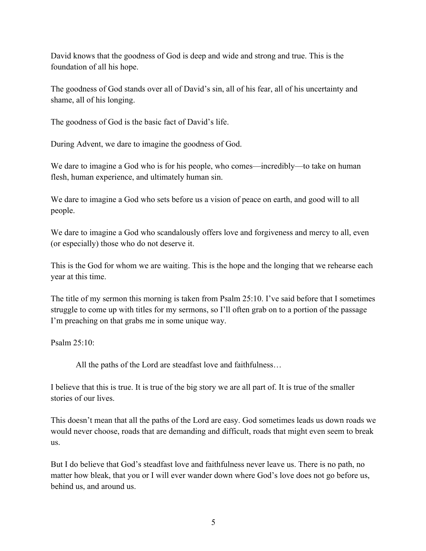David knows that the goodness of God is deep and wide and strong and true. This is the foundation of all his hope.

The goodness of God stands over all of David's sin, all of his fear, all of his uncertainty and shame, all of his longing.

The goodness of God is the basic fact of David's life.

During Advent, we dare to imagine the goodness of God.

We dare to imagine a God who is for his people, who comes—incredibly—to take on human flesh, human experience, and ultimately human sin.

We dare to imagine a God who sets before us a vision of peace on earth, and good will to all people.

We dare to imagine a God who scandalously offers love and forgiveness and mercy to all, even (or especially) those who do not deserve it.

This is the God for whom we are waiting. This is the hope and the longing that we rehearse each year at this time.

The title of my sermon this morning is taken from Psalm 25:10. I've said before that I sometimes struggle to come up with titles for my sermons, so I'll often grab on to a portion of the passage I'm preaching on that grabs me in some unique way.

Psalm 25:10:

All the paths of the Lord are steadfast love and faithfulness…

I believe that this is true. It is true of the big story we are all part of. It is true of the smaller stories of our lives.

This doesn't mean that all the paths of the Lord are easy. God sometimes leads us down roads we would never choose, roads that are demanding and difficult, roads that might even seem to break us.

But I do believe that God's steadfast love and faithfulness never leave us. There is no path, no matter how bleak, that you or I will ever wander down where God's love does not go before us, behind us, and around us.